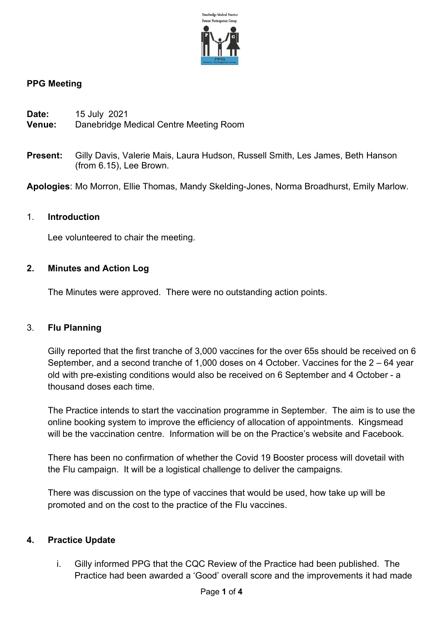

## PPG Meeting

| Date: | 15 July 2021 |  |
|-------|--------------|--|
| - -   |              |  |

- Venue: Danebridge Medical Centre Meeting Room
- Present: Gilly Davis, Valerie Mais, Laura Hudson, Russell Smith, Les James, Beth Hanson (from 6.15), Lee Brown.

Apologies: Mo Morron, Ellie Thomas, Mandy Skelding-Jones, Norma Broadhurst, Emily Marlow.

#### 1. Introduction

Lee volunteered to chair the meeting.

#### 2. Minutes and Action Log

The Minutes were approved. There were no outstanding action points.

#### 3. Flu Planning

Gilly reported that the first tranche of 3,000 vaccines for the over 65s should be received on 6 September, and a second tranche of 1,000 doses on 4 October. Vaccines for the 2 – 64 year old with pre-existing conditions would also be received on 6 September and 4 October - a thousand doses each time.

The Practice intends to start the vaccination programme in September. The aim is to use the online booking system to improve the efficiency of allocation of appointments. Kingsmead will be the vaccination centre. Information will be on the Practice's website and Facebook.

There has been no confirmation of whether the Covid 19 Booster process will dovetail with the Flu campaign. It will be a logistical challenge to deliver the campaigns.

There was discussion on the type of vaccines that would be used, how take up will be promoted and on the cost to the practice of the Flu vaccines.

## 4. Practice Update

i. Gilly informed PPG that the CQC Review of the Practice had been published. The Practice had been awarded a 'Good' overall score and the improvements it had made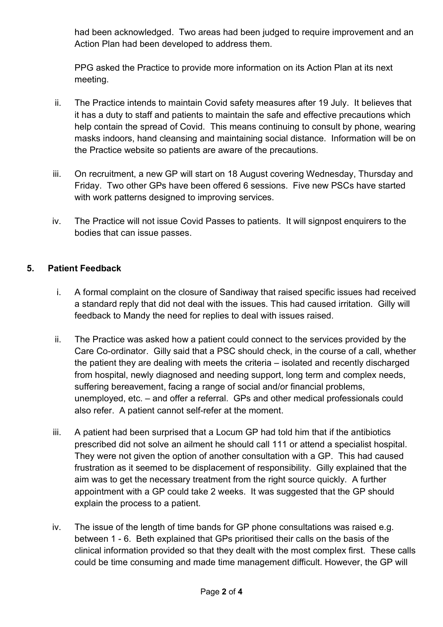had been acknowledged. Two areas had been judged to require improvement and an Action Plan had been developed to address them.

PPG asked the Practice to provide more information on its Action Plan at its next meeting.

- ii. The Practice intends to maintain Covid safety measures after 19 July. It believes that it has a duty to staff and patients to maintain the safe and effective precautions which help contain the spread of Covid. This means continuing to consult by phone, wearing masks indoors, hand cleansing and maintaining social distance. Information will be on the Practice website so patients are aware of the precautions.
- iii. On recruitment, a new GP will start on 18 August covering Wednesday, Thursday and Friday. Two other GPs have been offered 6 sessions. Five new PSCs have started with work patterns designed to improving services.
- iv. The Practice will not issue Covid Passes to patients. It will signpost enquirers to the bodies that can issue passes.

# 5. Patient Feedback

- i. A formal complaint on the closure of Sandiway that raised specific issues had received a standard reply that did not deal with the issues. This had caused irritation. Gilly will feedback to Mandy the need for replies to deal with issues raised.
- ii. The Practice was asked how a patient could connect to the services provided by the Care Co-ordinator. Gilly said that a PSC should check, in the course of a call, whether the patient they are dealing with meets the criteria – isolated and recently discharged from hospital, newly diagnosed and needing support, long term and complex needs, suffering bereavement, facing a range of social and/or financial problems, unemployed, etc. – and offer a referral. GPs and other medical professionals could also refer. A patient cannot self-refer at the moment.
- iii. A patient had been surprised that a Locum GP had told him that if the antibiotics prescribed did not solve an ailment he should call 111 or attend a specialist hospital. They were not given the option of another consultation with a GP. This had caused frustration as it seemed to be displacement of responsibility. Gilly explained that the aim was to get the necessary treatment from the right source quickly. A further appointment with a GP could take 2 weeks. It was suggested that the GP should explain the process to a patient.
- iv. The issue of the length of time bands for GP phone consultations was raised e.g. between 1 - 6. Beth explained that GPs prioritised their calls on the basis of the clinical information provided so that they dealt with the most complex first. These calls could be time consuming and made time management difficult. However, the GP will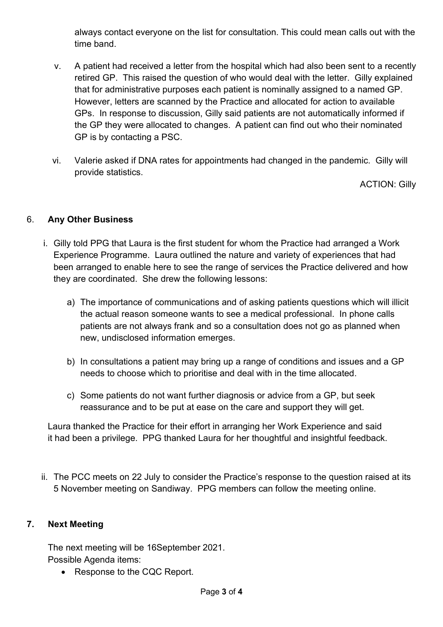always contact everyone on the list for consultation. This could mean calls out with the time band.

- v. A patient had received a letter from the hospital which had also been sent to a recently retired GP. This raised the question of who would deal with the letter. Gilly explained that for administrative purposes each patient is nominally assigned to a named GP. However, letters are scanned by the Practice and allocated for action to available GPs. In response to discussion, Gilly said patients are not automatically informed if the GP they were allocated to changes. A patient can find out who their nominated GP is by contacting a PSC.
- vi. Valerie asked if DNA rates for appointments had changed in the pandemic. Gilly will provide statistics.

ACTION: Gilly

## 6. Any Other Business

- i. Gilly told PPG that Laura is the first student for whom the Practice had arranged a Work Experience Programme. Laura outlined the nature and variety of experiences that had been arranged to enable here to see the range of services the Practice delivered and how they are coordinated. She drew the following lessons:
	- a) The importance of communications and of asking patients questions which will illicit the actual reason someone wants to see a medical professional. In phone calls patients are not always frank and so a consultation does not go as planned when new, undisclosed information emerges.
	- b) In consultations a patient may bring up a range of conditions and issues and a GP needs to choose which to prioritise and deal with in the time allocated.
	- c) Some patients do not want further diagnosis or advice from a GP, but seek reassurance and to be put at ease on the care and support they will get.

 Laura thanked the Practice for their effort in arranging her Work Experience and said it had been a privilege. PPG thanked Laura for her thoughtful and insightful feedback.

ii. The PCC meets on 22 July to consider the Practice's response to the question raised at its 5 November meeting on Sandiway. PPG members can follow the meeting online.

## 7. Next Meeting

The next meeting will be 16September 2021. Possible Agenda items:

• Response to the CQC Report.